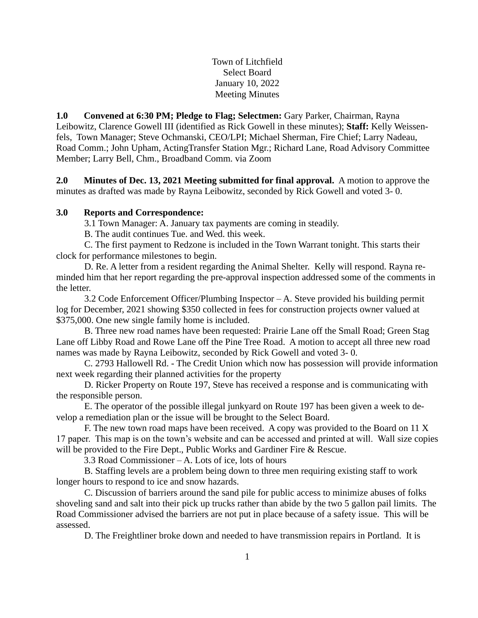Town of Litchfield Select Board January 10, 2022 Meeting Minutes

**1.0 Convened at 6:30 PM; Pledge to Flag; Selectmen:** Gary Parker, Chairman, Rayna Leibowitz, Clarence Gowell III (identified as Rick Gowell in these minutes); **Staff:** Kelly Weissenfels, Town Manager; Steve Ochmanski, CEO/LPI; Michael Sherman, Fire Chief; Larry Nadeau, Road Comm.; John Upham, ActingTransfer Station Mgr.; Richard Lane, Road Advisory Committee Member; Larry Bell, Chm., Broadband Comm. via Zoom

**2.0 Minutes of Dec. 13, 2021 Meeting submitted for final approval.** A motion to approve the minutes as drafted was made by Rayna Leibowitz, seconded by Rick Gowell and voted 3- 0.

# **3.0 Reports and Correspondence:**

3.1 Town Manager: A. January tax payments are coming in steadily.

B. The audit continues Tue. and Wed. this week.

C. The first payment to Redzone is included in the Town Warrant tonight. This starts their clock for performance milestones to begin.

D. Re. A letter from a resident regarding the Animal Shelter. Kelly will respond. Rayna reminded him that her report regarding the pre-approval inspection addressed some of the comments in the letter.

3.2 Code Enforcement Officer/Plumbing Inspector – A. Steve provided his building permit log for December, 2021 showing \$350 collected in fees for construction projects owner valued at \$375,000. One new single family home is included.

B. Three new road names have been requested: Prairie Lane off the Small Road; Green Stag Lane off Libby Road and Rowe Lane off the Pine Tree Road. A motion to accept all three new road names was made by Rayna Leibowitz, seconded by Rick Gowell and voted 3- 0.

C. 2793 Hallowell Rd. - The Credit Union which now has possession will provide information next week regarding their planned activities for the property

D. Ricker Property on Route 197, Steve has received a response and is communicating with the responsible person.

E. The operator of the possible illegal junkyard on Route 197 has been given a week to develop a remediation plan or the issue will be brought to the Select Board.

F. The new town road maps have been received. A copy was provided to the Board on 11 X 17 paper. This map is on the town's website and can be accessed and printed at will. Wall size copies will be provided to the Fire Dept., Public Works and Gardiner Fire & Rescue.

3.3 Road Commissioner – A. Lots of ice, lots of hours

B. Staffing levels are a problem being down to three men requiring existing staff to work longer hours to respond to ice and snow hazards.

C. Discussion of barriers around the sand pile for public access to minimize abuses of folks shoveling sand and salt into their pick up trucks rather than abide by the two 5 gallon pail limits. The Road Commissioner advised the barriers are not put in place because of a safety issue. This will be assessed.

D. The Freightliner broke down and needed to have transmission repairs in Portland. It is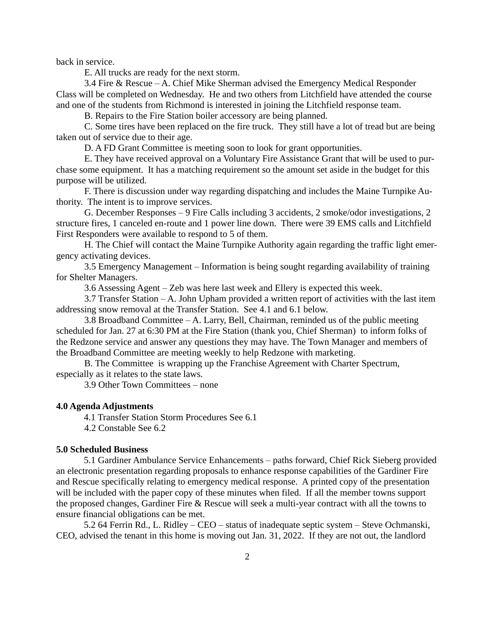back in service.

E. All trucks are ready for the next storm.

3.4 Fire & Rescue – A. Chief Mike Sherman advised the Emergency Medical Responder Class will be completed on Wednesday. He and two others from Litchfield have attended the course and one of the students from Richmond is interested in joining the Litchfield response team.

B. Repairs to the Fire Station boiler accessory are being planned.

C. Some tires have been replaced on the fire truck. They still have a lot of tread but are being taken out of service due to their age.

D. A FD Grant Committee is meeting soon to look for grant opportunities.

E. They have received approval on a Voluntary Fire Assistance Grant that will be used to purchase some equipment. It has a matching requirement so the amount set aside in the budget for this purpose will be utilized.

F. There is discussion under way regarding dispatching and includes the Maine Turnpike Authority. The intent is to improve services.

G. December Responses – 9 Fire Calls including 3 accidents, 2 smoke/odor investigations, 2 structure fires, 1 canceled en-route and 1 power line down. There were 39 EMS calls and Litchfield First Responders were available to respond to 5 of them.

H. The Chief will contact the Maine Turnpike Authority again regarding the traffic light emergency activating devices.

3.5 Emergency Management – Information is being sought regarding availability of training for Shelter Managers.

3.6 Assessing Agent – Zeb was here last week and Ellery is expected this week.

3.7 Transfer Station – A. John Upham provided a written report of activities with the last item addressing snow removal at the Transfer Station. See 4.1 and 6.1 below.

3.8 Broadband Committee – A. Larry, Bell, Chairman, reminded us of the public meeting scheduled for Jan. 27 at 6:30 PM at the Fire Station (thank you, Chief Sherman) to inform folks of the Redzone service and answer any questions they may have. The Town Manager and members of the Broadband Committee are meeting weekly to help Redzone with marketing.

B. The Committee is wrapping up the Franchise Agreement with Charter Spectrum, especially as it relates to the state laws.

3.9 Other Town Committees – none

### **4.0 Agenda Adjustments**

4.1 Transfer Station Storm Procedures See 6.1

4.2 Constable See 6.2

#### **5.0 Scheduled Business**

5.1 Gardiner Ambulance Service Enhancements – paths forward, Chief Rick Sieberg provided an electronic presentation regarding proposals to enhance response capabilities of the Gardiner Fire and Rescue specifically relating to emergency medical response. A printed copy of the presentation will be included with the paper copy of these minutes when filed. If all the member towns support the proposed changes, Gardiner Fire & Rescue will seek a multi-year contract with all the towns to ensure financial obligations can be met.

5.2 64 Ferrin Rd., L. Ridley – CEO – status of inadequate septic system – Steve Ochmanski, CEO, advised the tenant in this home is moving out Jan. 31, 2022. If they are not out, the landlord